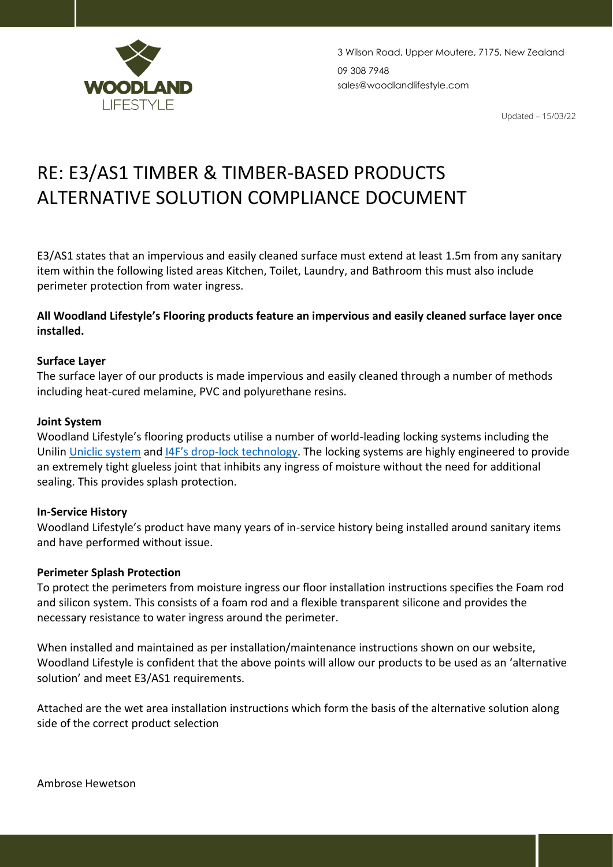

Updated – 15/03/22

# RE: E3/AS1 TIMBER & TIMBER-BASED PRODUCTS ALTERNATIVE SOLUTION COMPLIANCE DOCUMENT

E3/AS1 states that an impervious and easily cleaned surface must extend at least 1.5m from any sanitary item within the following listed areas Kitchen, Toilet, Laundry, and Bathroom this must also include perimeter protection from water ingress.

### **All Woodland Lifestyle's Flooring products feature an impervious and easily cleaned surface layer once installed.**

#### **Surface Layer**

The surface layer of our products is made impervious and easily cleaned through a number of methods including heat-cured melamine, PVC and polyurethane resins.

#### **Joint System**

Woodland Lifestyle's flooring products utilise a number of world-leading locking systems including the Unilin [Uniclic system](https://www.unilintechnologies.com/en/technologies/flooring/uniclic) and I4F's drop[-lock technology.](https://i4f.com/technologies/drop-lock/) The locking systems are highly engineered to provide an extremely tight glueless joint that inhibits any ingress of moisture without the need for additional sealing. This provides splash protection.

#### **In-Service History**

Woodland Lifestyle's product have many years of in-service history being installed around sanitary items and have performed without issue.

#### **Perimeter Splash Protection**

To protect the perimeters from moisture ingress our floor installation instructions specifies the Foam rod and silicon system. This consists of a foam rod and a flexible transparent silicone and provides the necessary resistance to water ingress around the perimeter.

When installed and maintained as per installation/maintenance instructions shown on our website, Woodland Lifestyle is confident that the above points will allow our products to be used as an 'alternative solution' and meet E3/AS1 requirements.

Attached are the wet area installation instructions which form the basis of the alternative solution along side of the correct product selection

Ambrose Hewetson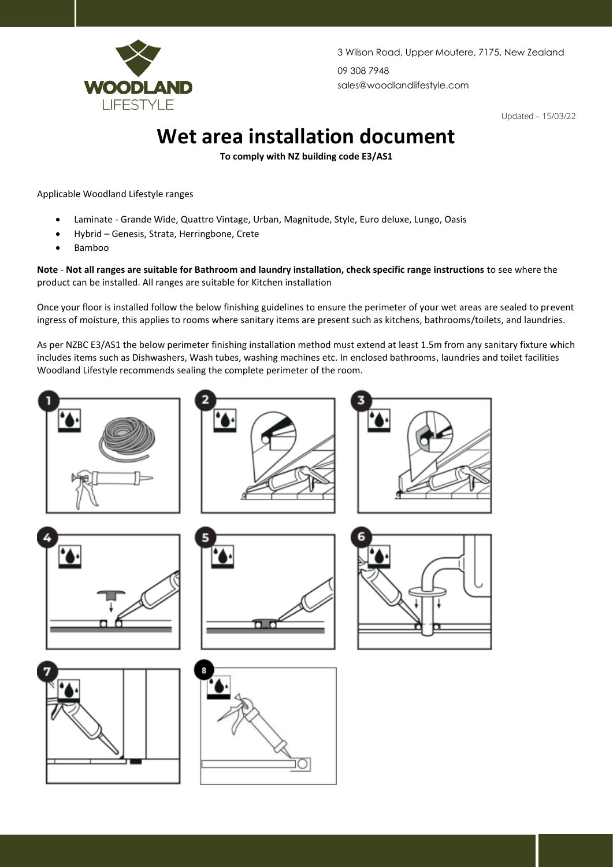

3 Wilson Road, Upper Moutere, 7175, New Zealand 09 308 7948 sales@woodlandlifestyle.com

Updated – 15/03/22

## **Wet area installation document**

**To comply with NZ building code E3/AS1** 

Applicable Woodland Lifestyle ranges

- Laminate Grande Wide, Quattro Vintage, Urban, Magnitude, Style, Euro deluxe, Lungo, Oasis
- Hybrid Genesis, Strata, Herringbone, Crete
- Bamboo

**Note** - **Not all ranges are suitable for Bathroom and laundry installation, check specific range instructions** to see where the product can be installed. All ranges are suitable for Kitchen installation

Once your floor is installed follow the below finishing guidelines to ensure the perimeter of your wet areas are sealed to prevent ingress of moisture, this applies to rooms where sanitary items are present such as kitchens, bathrooms/toilets, and laundries.

As per NZBC E3/AS1 the below perimeter finishing installation method must extend at least 1.5m from any sanitary fixture which includes items such as Dishwashers, Wash tubes, washing machines etc. In enclosed bathrooms, laundries and toilet facilities Woodland Lifestyle recommends sealing the complete perimeter of the room.